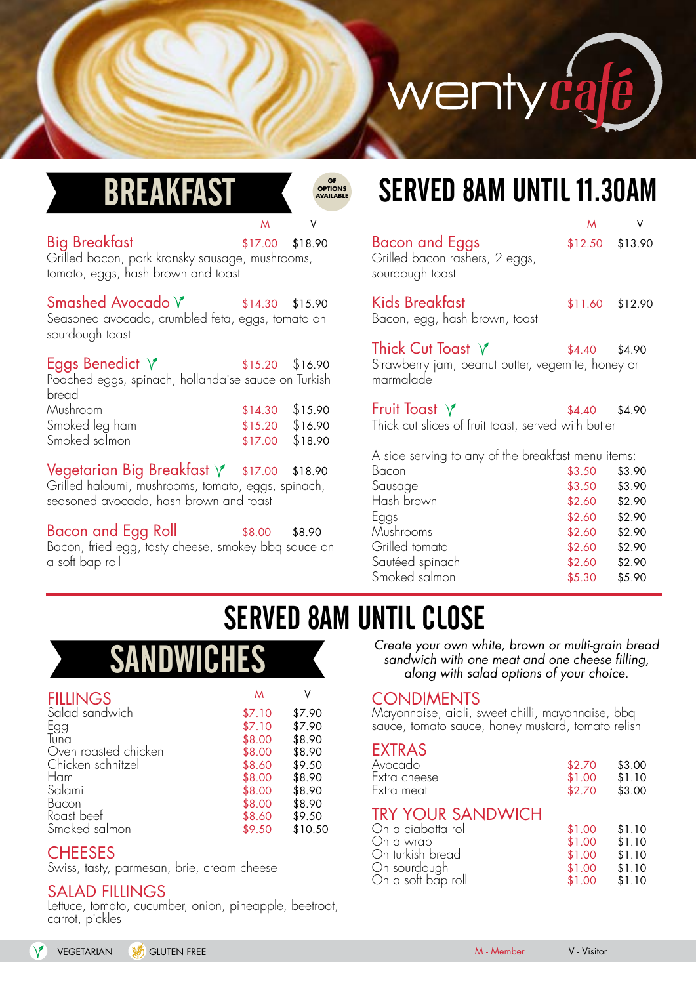

## BR

**GF OPTIONS** 

#### Big Breakfast \$17.00 \$18.90

Grilled bacon, pork kransky sausage, mushrooms, tomato, eggs, hash brown and toast

 $S$ mashed Avocado  $\sqrt{ }$   $\qquad \qquad$  \$14.30 \$15.90 Seasoned avocado, crumbled feta, eggs, tomato on sourdough toast

| Eggs Benedict $\sqrt{ }$                            | $$15.20$ $$16.90$ |  |
|-----------------------------------------------------|-------------------|--|
| Poached eggs, spinach, hollandaise sauce on Turkish |                   |  |
| bread                                               |                   |  |
| Mushroom                                            | $$14.30$ $$15.90$ |  |
| Smoked leg ham                                      | $$15.20$ $$16.90$ |  |
| Smoked salmon                                       | $$17.00$ $$18.90$ |  |

Vegetarian Big Breakfast  $\sqrt{\ }$  \$17.00 \$18.90 Grilled haloumi, mushrooms, tomato, eggs, spinach, seasoned avocado, hash brown and toast

Bacon and Egg Roll  $$8.00$   $$8.90$ Bacon, fried egg, tasty cheese, smokey bbq sauce on a soft bap roll

## **SERVED 8AM UNTIL 11.30AM**

| M                                                           |                                                                                                                                     | M      | V                 |
|-------------------------------------------------------------|-------------------------------------------------------------------------------------------------------------------------------------|--------|-------------------|
| $.00$ \$18.90<br>ushrooms,                                  | <b>Bacon and Eggs</b><br>Grilled bacon rashers, 2 eggs,<br>sourdough toast                                                          |        | $$12.50$ $$13.90$ |
| .30<br>\$15.90<br>s, tomato on                              | <b>Kids Breakfast</b><br>Bacon, egg, hash brown, toast                                                                              |        | $$11.60$ $$12.90$ |
| $.20\quad$ \$16.90<br>uce on Turkish                        | Thick Cut Toast $\forall$<br>Strawberry jam, peanut butter, vegemite, honey or<br>marmalade                                         | \$4.40 | \$4.90            |
| $.30\quad$ \$15.90<br>$.20\quad$ \$16.90<br>\$18.90<br>00.5 | Fruit Toast $\sqrt{ }$<br>Thick cut slices of fruit toast, served with butter<br>A side serving to any of the breakfast menu items: | \$4.40 | \$4.90            |
| \$18.90<br>00.5                                             | Bacon                                                                                                                               | \$3.50 | \$3.90            |
| gs, spinach,                                                | Sausage                                                                                                                             | \$3.50 | \$3.90            |
| ast                                                         | Hash brown                                                                                                                          | \$2.60 | \$2.90            |
|                                                             | Eggs                                                                                                                                | \$2.60 | \$2.90            |
|                                                             |                                                                                                                                     |        |                   |

| Eggs            | $$2.60$ $$2.90$ |        |
|-----------------|-----------------|--------|
| Mushrooms       | \$2.60          | \$2.90 |
| Grilled tomato  | \$2.60          | \$2.90 |
| Sautéed spinach | \$2.60          | \$2.90 |
| Smoked salmon   | \$5.30          | \$5.90 |
|                 |                 |        |

## SERVED 8AM UNTIL CLOSE

| <b>FILLINGS</b>      | M      |         |
|----------------------|--------|---------|
| Salad sandwich       | \$7.10 | \$7.90  |
| Egg                  | \$7.10 | \$7.90  |
| Tuna                 | \$8.00 | \$8.90  |
| Oven roasted chicken | \$8.00 | \$8.90  |
| Chicken schnitzel    | \$8.60 | \$9.50  |
| Ham                  | \$8.00 | \$8.90  |
| Salami               | \$8.00 | \$8.90  |
| Bacon                | \$8.00 | \$8.90  |
| Roast beef           | \$8.60 | \$9.50  |
| Smoked salmon        | \$9.50 | \$10.50 |

## **CHEESES**

Swiss, tasty, parmesan, brie, cream cheese

## SALAD FILLINGS

Lettuce, tomato, cucumber, onion, pineapple, beetroot, carrot, pickles

SANDWICHES Create your own white, brown or multi-grain bread<br>sandwich with one meat and one cheese filling,<br>along with salad options of your choice. sandwich with one meat and one cheese filling, along with salad options of your choice.

#### **CONDIMENTS**

Mayonnaise, aioli, sweet chilli, mayonnaise, bbq sauce, tomato sauce, honey mustard, tomato relish

#### EXTRAS

| Avocado<br>Extra cheese<br>Extra meat | \$2.70<br>\$1.00<br>\$2.70 | \$3.00<br>\$1.10<br>\$3.00 |
|---------------------------------------|----------------------------|----------------------------|
| <b>TRY YOUR SANDWICH</b>              |                            |                            |
| On a ciabatta roll                    | \$1.00                     | \$1.10                     |
| On a wrap                             | \$1.00                     | \$1.10                     |
| On turkish bread                      | \$1.00                     | \$1.10                     |
| On sourdough                          | \$1.00                     | \$1.10                     |
| On a soft bap roll                    | \$1.00                     | \$1.10                     |
|                                       |                            |                            |